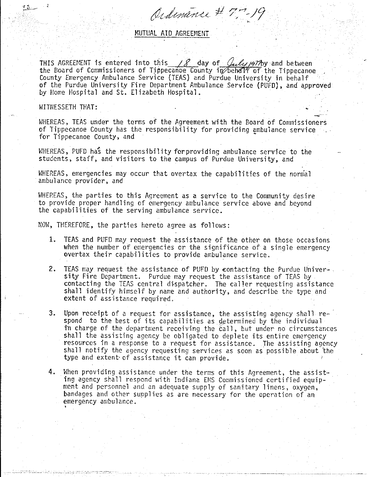Ordinance # 7,7-19

MUTUAL AID AGREEMENT.

THIS AGREEMENT is entered into this  $\frac{\sqrt{2}}{2}$  day of  $\frac{\sqrt{2}}{2}$  /97/by and between the Board of Commissioners of Tippecanoe County in behalf of the Tippecanoe County Emergency Ambulance Service (TEAS) and Purdue University in behalf of the Purdue University Fire Department Ambulance Service (PUFD), and approved by Home Hospital and St. Elizabeth Hospital.

## WITNESSETH THAT:

WHEREAS, TEAS under the terms of the Agreement with the Board of Commissioners of Tippecanoe County has the responsibility for providing ambulance service for Tippecanoe County, and

WHEREAS, PUFD has the responsibility for providing ambulance service to the students, staff, and visitors to the campus of Purdue University, and

WHEREAS, emergencies may occur that overtax the capabilities of the normal ambulance provider, and

WHEREAS, the parties to this Agreement as a service to the Community desire to provide proper handling of emergency ambulance service above and beyond the capabilities of the serving ambulance service.

NOW, THEREFORE, the parties hereto agree as follows:

- 1. TEAS and PUFD may request the assistance of the other on those occasions when the number of emergencies or the significance of a single emergency overtax their capabilities to provide ambulance service.
- 2. TEAS may request the assistance of PUFD by contacting the Purdue University Fire Department. Purdue may request the assistance of TEAS by contacting the TEAS central dispatcher. The caller requesting assistance shall identify himself by name and authority, and describe the type and extent of assistance required.
- Upon receipt of a request for assistance, the assisting agency shall re-3. spond to the best of its capabilities as determined by the individual in charge of the department receiving the call, but under no circumstances shall the assisting agency be obligated to deplete its entire emergency resources in a response to a request for assistance. The assisting agency shall notify the agency requesting services as soon as possible about the type and extent of assistance it can provide.
- When providing assistance under the terms of this Agreement, the assist- $4.$ ing agency shall respond with Indiana EMS Commissioned certified equipment and personnel and an adequate supply of sanitary linens, oxygen, bandages and other supplies as are necessary for the operation of an emergency ambulance.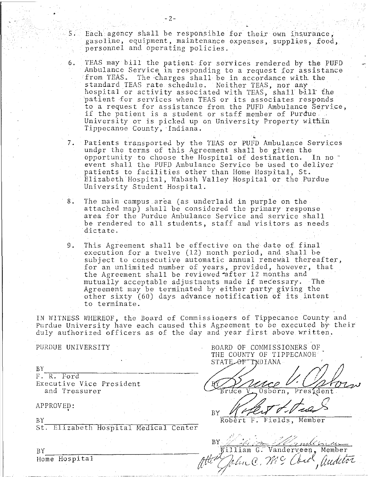$\bullet$  2 –  $2-$ 

5. Each agency shall be responsible for their own insurance, gasoline, equipment, maintenance expenses, supplies, food, personnel and operating policies.

- 6. TEAS may bill the patient for services rendered by the PUFD Ambulance Service in responding to a request for assistance<br>from TEAS. The charges shall be in accordance with the The charges shall be in accordance with the standard TEAS rate schedule. Neither TEAS, nor any hospital or activity associated with TEAS, shall bill the patient for services when TEAS or its associates responds to a request for assistance from the PUFD Ambulance Service, if the patient is a student or staff member of Purdue University or is picked up on University Property within Tippecanoe County, Indiana.
- 7. Patients transported by the TEAS or PUFD Ambulance Services under the terms of this Agreement shall be given the opportunity to choose the Hospital of destination. In no event shall the PUFD Ambulance Service be used to deliver patients to facilities other than Home Hospital, St. Elizabeth Hospital, Wabash Valley Hospital or the Purdue University Student Hospital.
- 8. The main campus area (as underlaid in purple on the attached map) shall be considered the primary response area for the Purdue Ambulance Service and service shall be rendered to all students, staff and visitors as needs dictate.
- 9. This Agreement shall be effective on the date of final execution for a twelve (12) month period, and shall be subject to consecutive automatic annual renewal thereafter, for an unlimited number of years, provided, however, that the Agreement shall be reviewed after 12 months and mutually acceptable adjustments made if necessary. The Agreement may be terminated by either party giving the other sixty (60) days advance notification of its intent to terminate.

IN WITNESS WHEREOF, the Board of Commissioners of Tippecanoe County and Purdue University have each caused this Agreement to be executed by their duly authorized officers as of the day and year first above written.

 $\mathcal{L}$ 

## PURDUE UNIVERSITY

BOARD OF COMMISSIONERS OF THE COUNTY OF TIPPECANOE

STATE OF TYDIANA

 $\frac{1}{\sqrt{3}}$   $\frac{1}{\sqrt{3}}$   $\frac{1}{\sqrt{3}}$ 

Robert F. Fields, Member

· .. ··.·. , •' . ': .. .· <:-'.::;::.' /.:' BY ~" -('-r *,\_"r·r-;,\_\_* .~· \_,,,. *?-* - -; ,;;.-;,~£{ :.,..., t-.C..<-- BY BY SALLMAN STRAINING WILLIAM G. Vanderveen, Member Home Hospital and alter John C. M. C. Out , and the

 $BY$   $F.$   $R.$  Ford Executive Vice President and Treasurer

## APPROVED: •

BY

St. Elizabeth Hospital Medical Center